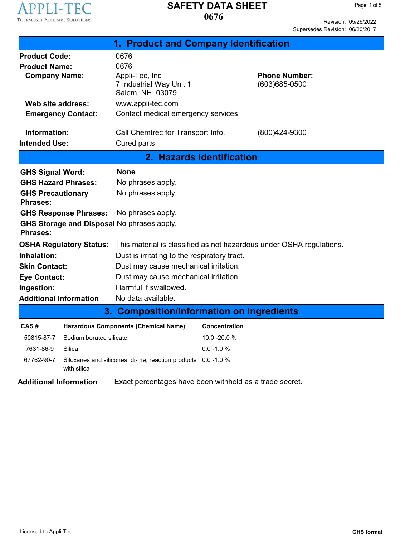

### **0676 SAFETY DATA SHEET**

Revision: 05/26/2022 Supersedes Revision: 06/20/2017

| 1. Product and Company Identification                         |                           |                                                                      |                      |                                        |  |
|---------------------------------------------------------------|---------------------------|----------------------------------------------------------------------|----------------------|----------------------------------------|--|
| <b>Product Code:</b>                                          |                           | 0676                                                                 |                      |                                        |  |
| <b>Product Name:</b>                                          |                           | 0676                                                                 |                      |                                        |  |
| <b>Company Name:</b>                                          |                           | Appli-Tec, Inc<br>7 Industrial Way Unit 1                            |                      | <b>Phone Number:</b><br>(603) 685-0500 |  |
|                                                               |                           | Salem, NH 03079                                                      |                      |                                        |  |
| Web site address:                                             |                           | www.appli-tec.com                                                    |                      |                                        |  |
|                                                               | <b>Emergency Contact:</b> | Contact medical emergency services                                   |                      |                                        |  |
|                                                               |                           |                                                                      |                      |                                        |  |
| Information:                                                  |                           | Call Chemtrec for Transport Info.                                    |                      | (800)424-9300                          |  |
| <b>Intended Use:</b>                                          |                           | Cured parts                                                          |                      |                                        |  |
|                                                               | 2. Hazards Identification |                                                                      |                      |                                        |  |
| <b>GHS Signal Word:</b>                                       |                           | <b>None</b>                                                          |                      |                                        |  |
| <b>GHS Hazard Phrases:</b>                                    |                           | No phrases apply.                                                    |                      |                                        |  |
| <b>GHS Precautionary</b>                                      |                           | No phrases apply.                                                    |                      |                                        |  |
| <b>Phrases:</b>                                               |                           |                                                                      |                      |                                        |  |
| <b>GHS Response Phrases:</b>                                  |                           | No phrases apply.                                                    |                      |                                        |  |
| GHS Storage and Disposal No phrases apply.<br><b>Phrases:</b> |                           |                                                                      |                      |                                        |  |
| <b>OSHA Regulatory Status:</b>                                |                           | This material is classified as not hazardous under OSHA regulations. |                      |                                        |  |
| Inhalation:                                                   |                           | Dust is irritating to the respiratory tract.                         |                      |                                        |  |
| <b>Skin Contact:</b>                                          |                           | Dust may cause mechanical irritation.                                |                      |                                        |  |
| <b>Eye Contact:</b>                                           |                           | Dust may cause mechanical irritation.                                |                      |                                        |  |
| Ingestion:                                                    |                           | Harmful if swallowed.                                                |                      |                                        |  |
| <b>Additional Information</b>                                 |                           | No data available.                                                   |                      |                                        |  |
| 3. Composition/Information on Ingredients                     |                           |                                                                      |                      |                                        |  |
| CAS#                                                          |                           | <b>Hazardous Components (Chemical Name)</b>                          | <b>Concentration</b> |                                        |  |
| 50815-87-7                                                    | Sodium borated silicate   |                                                                      | 10.0 - 20.0 %        |                                        |  |
| 7631-86-9                                                     | Silica                    |                                                                      | $0.0 - 1.0 %$        |                                        |  |
| 67762-90-7                                                    | with silica               | Siloxanes and silicones, di-me, reaction products 0.0-1.0 %          |                      |                                        |  |
| <b>Additional Information</b>                                 |                           | Exact percentages have been withheld as a trade secret.              |                      |                                        |  |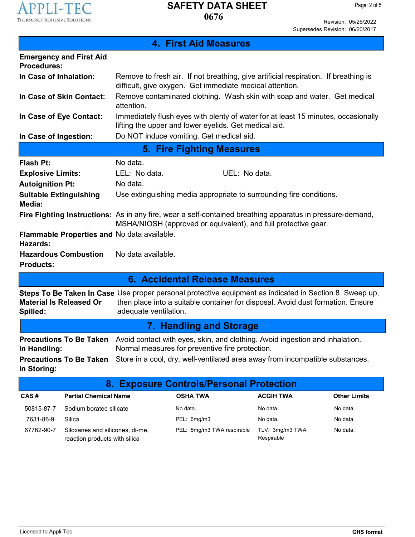

I

### **0676 SAFETY DATA SHEET**

Revision: 05/26/2022 Supersedes Revision: 06/20/2017

| <b>4. First Aid Measures</b>                                   |                                                                                                                                                                                                                     |  |  |
|----------------------------------------------------------------|---------------------------------------------------------------------------------------------------------------------------------------------------------------------------------------------------------------------|--|--|
| <b>Emergency and First Aid</b><br><b>Procedures:</b>           |                                                                                                                                                                                                                     |  |  |
| In Case of Inhalation:                                         | Remove to fresh air. If not breathing, give artificial respiration. If breathing is<br>difficult, give oxygen. Get immediate medical attention.                                                                     |  |  |
| In Case of Skin Contact:                                       | Remove contaminated clothing. Wash skin with soap and water. Get medical<br>attention.                                                                                                                              |  |  |
| In Case of Eye Contact:                                        | Immediately flush eyes with plenty of water for at least 15 minutes, occasionally<br>lifting the upper and lower eyelids. Get medical aid.                                                                          |  |  |
| In Case of Ingestion:                                          | Do NOT induce vomiting. Get medical aid.                                                                                                                                                                            |  |  |
|                                                                | <b>5. Fire Fighting Measures</b>                                                                                                                                                                                    |  |  |
| Flash Pt:                                                      | No data.                                                                                                                                                                                                            |  |  |
| <b>Explosive Limits:</b>                                       | LEL: No data.<br>UEL: No data.                                                                                                                                                                                      |  |  |
| <b>Autoignition Pt:</b>                                        | No data.                                                                                                                                                                                                            |  |  |
| <b>Suitable Extinguishing</b><br>Media:                        | Use extinguishing media appropriate to surrounding fire conditions.                                                                                                                                                 |  |  |
|                                                                | Fire Fighting Instructions: As in any fire, wear a self-contained breathing apparatus in pressure-demand,<br>MSHA/NIOSH (approved or equivalent), and full protective gear.                                         |  |  |
| Flammable Properties and No data available.<br><b>Hazards:</b> |                                                                                                                                                                                                                     |  |  |
| <b>Hazardous Combustion</b><br><b>Products:</b>                | No data available.                                                                                                                                                                                                  |  |  |
|                                                                | 6. Accidental Release Measures                                                                                                                                                                                      |  |  |
| <b>Material Is Released Or</b><br>Spilled:                     | Steps To Be Taken In Case Use proper personal protective equipment as indicated in Section 8. Sweep up,<br>then place into a suitable container for disposal. Avoid dust formation. Ensure<br>adequate ventilation. |  |  |
| 7. Handling and Storage                                        |                                                                                                                                                                                                                     |  |  |
| <b>Precautions To Be Taken</b><br>in Handling:                 | Avoid contact with eyes, skin, and clothing. Avoid ingestion and inhalation.<br>Normal measures for preventive fire protection.                                                                                     |  |  |
| <b>Precautions To Be Taken</b><br>in Storing:                  | Store in a cool, dry, well-ventilated area away from incompatible substances.                                                                                                                                       |  |  |
| 8. Exposure Controls/Personal Protection                       |                                                                                                                                                                                                                     |  |  |
|                                                                |                                                                                                                                                                                                                     |  |  |

| CAS#       | <b>Partial Chemical Name</b>                                     | <b>OSHA TWA</b>            | <b>ACGIH TWA</b>              | <b>Other Limits</b> |
|------------|------------------------------------------------------------------|----------------------------|-------------------------------|---------------------|
| 50815-87-7 | Sodium borated silicate                                          | No data.                   | No data.                      | No data.            |
| 7631-86-9  | Silica                                                           | PEL: 6mg/m3                | No data.                      | No data.            |
| 67762-90-7 | Siloxanes and silicones, di-me,<br>reaction products with silica | PEL: 5mg/m3 TWA respirable | TLV: 3mg/m3 TWA<br>Respirable | No data.            |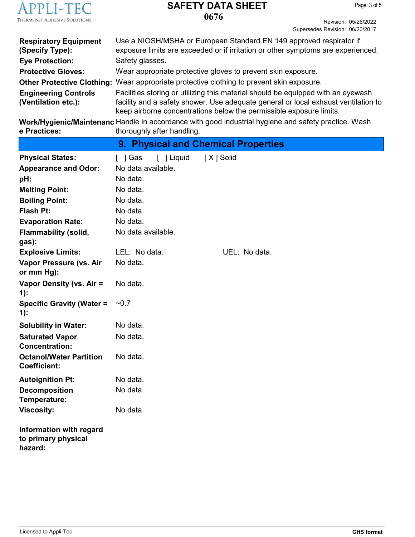

# **SAFETY DATA SHEET**

**0676**

Revision: 05/26/2022 Supersedes Revision: 06/20/2017

| <b>Respiratory Equipment</b><br>(Specify Type): | Use a NIOSH/MSHA or European Standard EN 149 approved respirator if<br>exposure limits are exceeded or if irritation or other symptoms are experienced.   |
|-------------------------------------------------|-----------------------------------------------------------------------------------------------------------------------------------------------------------|
| <b>Eye Protection:</b>                          | Safety glasses.                                                                                                                                           |
| <b>Protective Gloves:</b>                       | Wear appropriate protective gloves to prevent skin exposure.                                                                                              |
|                                                 | <b>Other Protective Clothing:</b> Wear appropriate protective clothing to prevent skin exposure.                                                          |
| <b>Engineering Controls</b>                     | Facilities storing or utilizing this material should be equipped with an eyewash                                                                          |
| (Ventilation etc.):                             | facility and a safety shower. Use adequate general or local exhaust ventilation to<br>keep airborne concentrations below the permissible exposure limits. |

**Work/Hygienic/Maintenanc** Handle in accordance with good industrial hygiene and safety practice. Wash **e Practices:** thoroughly after handling.

|                                                           | 9. Physical and Chemical Properties |               |  |
|-----------------------------------------------------------|-------------------------------------|---------------|--|
| <b>Physical States:</b>                                   | [ ] Liquid<br>[ ] Gas               | [X] Solid     |  |
| <b>Appearance and Odor:</b>                               | No data available.                  |               |  |
| pH:                                                       | No data.                            |               |  |
| <b>Melting Point:</b>                                     | No data.                            |               |  |
| <b>Boiling Point:</b>                                     | No data.                            |               |  |
| Flash Pt:                                                 | No data.                            |               |  |
| <b>Evaporation Rate:</b>                                  | No data.                            |               |  |
| <b>Flammability (solid,</b><br>gas):                      | No data available.                  |               |  |
| <b>Explosive Limits:</b>                                  | LEL: No data.                       | UEL: No data. |  |
| Vapor Pressure (vs. Air<br>or mm Hg):                     | No data.                            |               |  |
| Vapor Density (vs. Air =<br>$1)$ :                        | No data.                            |               |  |
| <b>Specific Gravity (Water =</b><br>$1)$ :                | ~10.7                               |               |  |
| <b>Solubility in Water:</b>                               | No data.                            |               |  |
| <b>Saturated Vapor</b><br><b>Concentration:</b>           | No data.                            |               |  |
| <b>Octanol/Water Partition</b><br><b>Coefficient:</b>     | No data.                            |               |  |
| <b>Autoignition Pt:</b>                                   | No data.                            |               |  |
| <b>Decomposition</b><br>Temperature:                      | No data.                            |               |  |
| <b>Viscosity:</b>                                         | No data.                            |               |  |
| Information with regard<br>to primary physical<br>hazard: |                                     |               |  |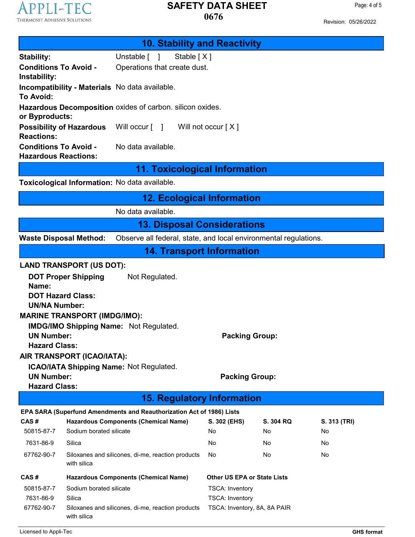## **APPLI-TEC** THERMOSET ADHESIVE SOLUTIONS

### **0676 SAFETY DATA SHEET**

Revision: 05/26/2022

Page: 4 of 5

| <b>10. Stability and Reactivity</b>                                                                                                                                                                                                                                                                                                                                                                                               |                                                                       |                                    |                        |                    |  |
|-----------------------------------------------------------------------------------------------------------------------------------------------------------------------------------------------------------------------------------------------------------------------------------------------------------------------------------------------------------------------------------------------------------------------------------|-----------------------------------------------------------------------|------------------------------------|------------------------|--------------------|--|
| <b>Stability:</b>                                                                                                                                                                                                                                                                                                                                                                                                                 | Unstable [ ]<br>Stable [X]                                            |                                    |                        |                    |  |
| <b>Conditions To Avoid -</b><br>Instability:                                                                                                                                                                                                                                                                                                                                                                                      | Operations that create dust.                                          |                                    |                        |                    |  |
| <b>To Avoid:</b>                                                                                                                                                                                                                                                                                                                                                                                                                  | Incompatibility - Materials No data available.                        |                                    |                        |                    |  |
| or Byproducts:                                                                                                                                                                                                                                                                                                                                                                                                                    | Hazardous Decomposition oxides of carbon. silicon oxides.             |                                    |                        |                    |  |
| <b>Possibility of Hazardous</b><br><b>Reactions:</b>                                                                                                                                                                                                                                                                                                                                                                              | Will occur [ ]<br>Will not occur $[X]$                                |                                    |                        |                    |  |
| <b>Conditions To Avoid -</b><br><b>Hazardous Reactions:</b>                                                                                                                                                                                                                                                                                                                                                                       | No data available.                                                    |                                    |                        |                    |  |
|                                                                                                                                                                                                                                                                                                                                                                                                                                   | <b>11. Toxicological Information</b>                                  |                                    |                        |                    |  |
| Toxicological Information: No data available.                                                                                                                                                                                                                                                                                                                                                                                     |                                                                       |                                    |                        |                    |  |
|                                                                                                                                                                                                                                                                                                                                                                                                                                   | <b>12. Ecological Information</b>                                     |                                    |                        |                    |  |
|                                                                                                                                                                                                                                                                                                                                                                                                                                   | No data available.                                                    |                                    |                        |                    |  |
|                                                                                                                                                                                                                                                                                                                                                                                                                                   | <b>13. Disposal Considerations</b>                                    |                                    |                        |                    |  |
| Observe all federal, state, and local environmental regulations.<br><b>Waste Disposal Method:</b>                                                                                                                                                                                                                                                                                                                                 |                                                                       |                                    |                        |                    |  |
|                                                                                                                                                                                                                                                                                                                                                                                                                                   | <b>14. Transport Information</b>                                      |                                    |                        |                    |  |
| <b>LAND TRANSPORT (US DOT):</b><br>Not Regulated.<br><b>DOT Proper Shipping</b><br>Name:<br><b>DOT Hazard Class:</b><br><b>UN/NA Number:</b><br><b>MARINE TRANSPORT (IMDG/IMO):</b><br><b>IMDG/IMO Shipping Name: Not Regulated.</b><br><b>UN Number:</b><br><b>Packing Group:</b><br><b>Hazard Class:</b><br>AIR TRANSPORT (ICAO/IATA):<br>ICAO/IATA Shipping Name: Not Regulated.<br><b>UN Number:</b><br><b>Packing Group:</b> |                                                                       |                                    |                        |                    |  |
| <b>Hazard Class:</b>                                                                                                                                                                                                                                                                                                                                                                                                              |                                                                       |                                    |                        |                    |  |
| <b>15. Regulatory Information</b>                                                                                                                                                                                                                                                                                                                                                                                                 |                                                                       |                                    |                        |                    |  |
|                                                                                                                                                                                                                                                                                                                                                                                                                                   | EPA SARA (Superfund Amendments and Reauthorization Act of 1986) Lists |                                    |                        |                    |  |
| CAS#<br>Sodium borated silicate<br>50815-87-7                                                                                                                                                                                                                                                                                                                                                                                     | <b>Hazardous Components (Chemical Name)</b>                           | S. 302 (EHS)<br>No                 | S. 304 RQ<br>No        | S. 313 (TRI)<br>No |  |
| 7631-86-9<br>Silica                                                                                                                                                                                                                                                                                                                                                                                                               |                                                                       | No                                 | No                     | No                 |  |
| 67762-90-7<br>with silica                                                                                                                                                                                                                                                                                                                                                                                                         | Siloxanes and silicones, di-me, reaction products                     | No                                 | No.                    | No                 |  |
| CAS#<br><b>Hazardous Components (Chemical Name)</b>                                                                                                                                                                                                                                                                                                                                                                               |                                                                       | <b>Other US EPA or State Lists</b> |                        |                    |  |
| 50815-87-7                                                                                                                                                                                                                                                                                                                                                                                                                        | Sodium borated silicate                                               |                                    | <b>TSCA: Inventory</b> |                    |  |
| 7631-86-9<br>Silica                                                                                                                                                                                                                                                                                                                                                                                                               |                                                                       |                                    | <b>TSCA: Inventory</b> |                    |  |
| 67762-90-7<br>with silica                                                                                                                                                                                                                                                                                                                                                                                                         | Siloxanes and silicones, di-me, reaction products                     | TSCA: Inventory, 8A, 8A PAIR       |                        |                    |  |